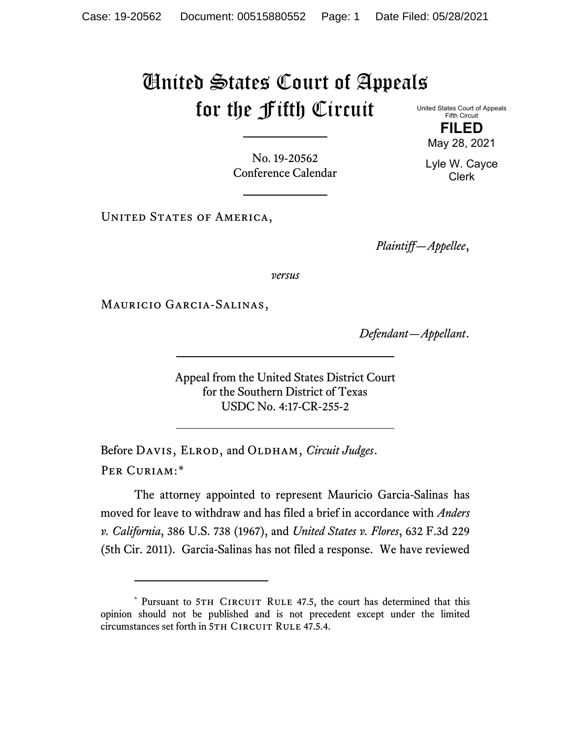## United States Court of Appeals for the Fifth Circuit United States Court of Appeals

No. 19-20562 Conference Calendar

UNITED STATES OF AMERICA,

*Plaintiff—Appellee*,

*versus*

Mauricio Garcia-Salinas,

*Defendant—Appellant*.

Appeal from the United States District Court for the Southern District of Texas USDC No. 4:17-CR-255-2

Before DAVIS, ELROD, and OLDHAM, *Circuit Judges*. Per Curiam:[\\*](#page-0-0)

The attorney appointed to represent Mauricio Garcia-Salinas has moved for leave to withdraw and has filed a brief in accordance with *Anders v. California*, 386 U.S. 738 (1967), and *United States v. Flores*, 632 F.3d 229 (5th Cir. 2011). Garcia-Salinas has not filed a response. We have reviewed

**FILED** May 28, 2021

Fifth Circuit

Lyle W. Cayce Clerk

<span id="page-0-0"></span><sup>\*</sup> Pursuant to 5TH CIRCUIT RULE 47.5, the court has determined that this opinion should not be published and is not precedent except under the limited circumstances set forth in 5TH CIRCUIT RULE 47.5.4.